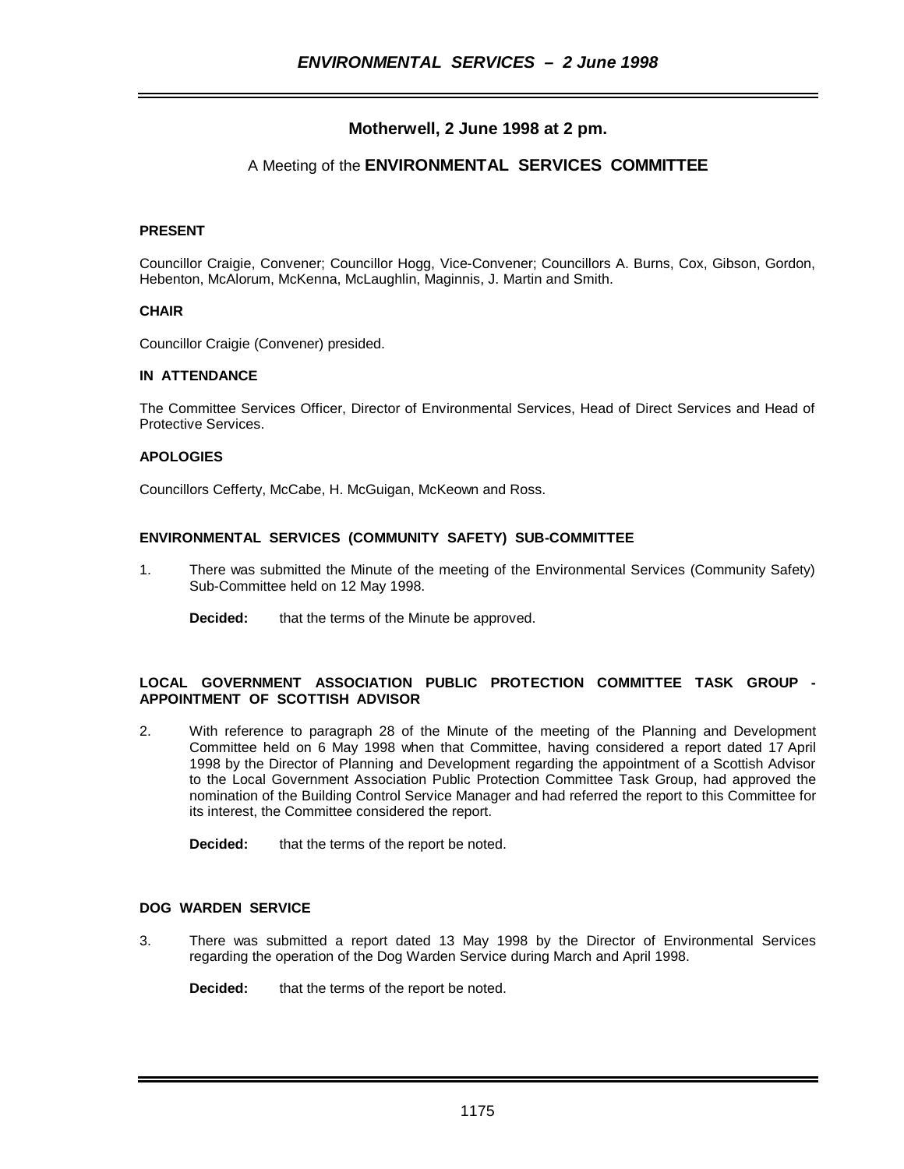# **Motherwell, 2 June 1998 at 2 pm.**

## A Meeting of the **ENVIRONMENTAL SERVICES COMMITTEE**

## **PRESENT**

Councillor Craigie, Convener; Councillor Hogg, Vice-Convener; Councillors A. Burns, Cox, Gibson, Gordon, Hebenton, McAlorum, McKenna, McLaughlin, Maginnis, J. Martin and Smith.

## **CHAIR**

Councillor Craigie (Convener) presided.

## **IN ATTENDANCE**

The Committee Services Officer, Director of Environmental Services, Head of Direct Services and Head of Protective Services.

## **APOLOGIES**

Councillors Cefferty, McCabe, H. McGuigan, McKeown and Ross.

## **ENVIRONMENTAL SERVICES (COMMUNITY SAFETY) SUB-COMMITTEE**

- 1. There was submitted the Minute of the meeting of the Environmental Services (Community Safety) Sub-Committee held on 12 May 1998.
	- **Decided:** that the terms of the Minute be approved.

## **LOCAL GOVERNMENT ASSOCIATION PUBLIC PROTECTION COMMITTEE TASK GROUP - APPOINTMENT OF SCOTTISH ADVISOR**

2. With reference to paragraph 28 of the Minute of the meeting of the Planning and Development Committee held on 6 May 1998 when that Committee, having considered a report dated 17 April 1998 by the Director of Planning and Development regarding the appointment of a Scottish Advisor to the Local Government Association Public Protection Committee Task Group, had approved the nomination of the Building Control Service Manager and had referred the report to this Committee for its interest, the Committee considered the report.

**Decided:** that the terms of the report be noted.

## **DOG WARDEN SERVICE**

3. There was submitted a report dated 13 May 1998 by the Director of Environmental Services regarding the operation of the Dog Warden Service during March and April 1998.

**Decided:** that the terms of the report be noted.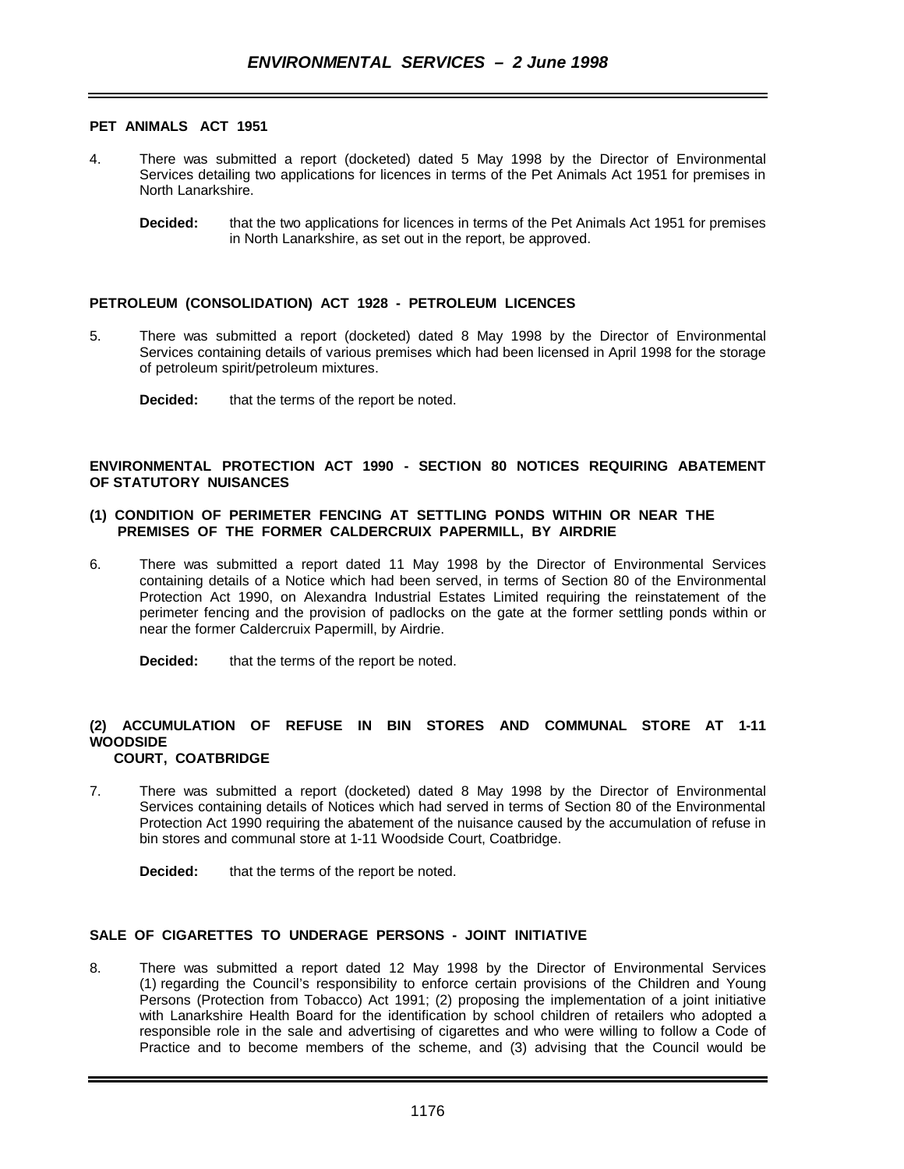#### **PET ANIMALS ACT 1951**

- 4. There was submitted a report (docketed) dated 5 May 1998 by the Director of Environmental Services detailing two applications for licences in terms of the Pet Animals Act 1951 for premises in North Lanarkshire.
	- **Decided:** that the two applications for licences in terms of the Pet Animals Act 1951 for premises in North Lanarkshire, as set out in the report, be approved.

#### **PETROLEUM (CONSOLIDATION) ACT 1928 - PETROLEUM LICENCES**

5. There was submitted a report (docketed) dated 8 May 1998 by the Director of Environmental Services containing details of various premises which had been licensed in April 1998 for the storage of petroleum spirit/petroleum mixtures.

#### **ENVIRONMENTAL PROTECTION ACT 1990 - SECTION 80 NOTICES REQUIRING ABATEMENT OF STATUTORY NUISANCES**

#### **(1) CONDITION OF PERIMETER FENCING AT SETTLING PONDS WITHIN OR NEAR THE PREMISES OF THE FORMER CALDERCRUIX PAPERMILL, BY AIRDRIE**

6. There was submitted a report dated 11 May 1998 by the Director of Environmental Services containing details of a Notice which had been served, in terms of Section 80 of the Environmental Protection Act 1990, on Alexandra Industrial Estates Limited requiring the reinstatement of the perimeter fencing and the provision of padlocks on the gate at the former settling ponds within or near the former Caldercruix Papermill, by Airdrie.

**Decided:** that the terms of the report be noted.

# **(2) ACCUMULATION OF REFUSE IN BIN STORES AND COMMUNAL STORE AT 1-11 WOODSIDE**

## **COURT, COATBRIDGE**

7. There was submitted a report (docketed) dated 8 May 1998 by the Director of Environmental Services containing details of Notices which had served in terms of Section 80 of the Environmental Protection Act 1990 requiring the abatement of the nuisance caused by the accumulation of refuse in bin stores and communal store at 1-11 Woodside Court, Coatbridge.

**Decided:** that the terms of the report be noted.

#### **SALE OF CIGARETTES TO UNDERAGE PERSONS - JOINT INITIATIVE**

8. There was submitted a report dated 12 May 1998 by the Director of Environmental Services (1) regarding the Council's responsibility to enforce certain provisions of the Children and Young Persons (Protection from Tobacco) Act 1991; (2) proposing the implementation of a joint initiative with Lanarkshire Health Board for the identification by school children of retailers who adopted a responsible role in the sale and advertising of cigarettes and who were willing to follow a Code of Practice and to become members of the scheme, and (3) advising that the Council would be

**Decided:** that the terms of the report be noted.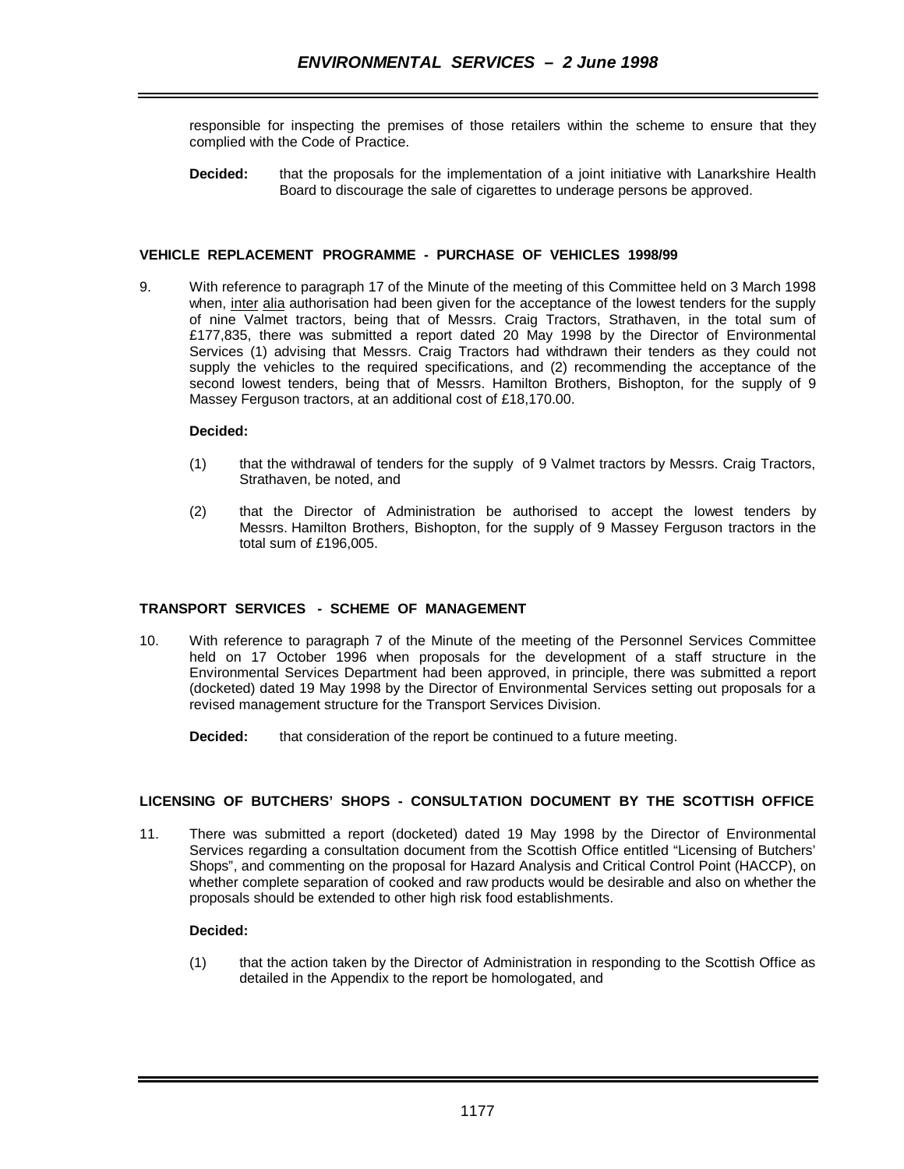responsible for inspecting the premises of those retailers within the scheme to ensure that they complied with the Code of Practice.

**Decided:** that the proposals for the implementation of a joint initiative with Lanarkshire Health Board to discourage the sale of cigarettes to underage persons be approved.

#### **VEHICLE REPLACEMENT PROGRAMME - PURCHASE OF VEHICLES 1998/99**

9. With reference to paragraph 17 of the Minute of the meeting of this Committee held on 3 March 1998 when, inter alia authorisation had been given for the acceptance of the lowest tenders for the supply of nine Valmet tractors, being that of Messrs. Craig Tractors, Strathaven, in the total sum of £177,835, there was submitted a report dated 20 May 1998 by the Director of Environmental Services (1) advising that Messrs. Craig Tractors had withdrawn their tenders as they could not supply the vehicles to the required specifications, and (2) recommending the acceptance of the second lowest tenders, being that of Messrs. Hamilton Brothers, Bishopton, for the supply of 9 Massey Ferguson tractors, at an additional cost of £18,170.00.

#### **Decided:**

- (1) that the withdrawal of tenders for the supply of 9 Valmet tractors by Messrs. Craig Tractors, Strathaven, be noted, and
- (2) that the Director of Administration be authorised to accept the lowest tenders by Messrs. Hamilton Brothers, Bishopton, for the supply of 9 Massey Ferguson tractors in the total sum of £196,005.

## **TRANSPORT SERVICES - SCHEME OF MANAGEMENT**

- 10. With reference to paragraph 7 of the Minute of the meeting of the Personnel Services Committee held on 17 October 1996 when proposals for the development of a staff structure in the Environmental Services Department had been approved, in principle, there was submitted a report (docketed) dated 19 May 1998 by the Director of Environmental Services setting out proposals for a revised management structure for the Transport Services Division.
	- **Decided:** that consideration of the report be continued to a future meeting.

#### **LICENSING OF BUTCHERS' SHOPS - CONSULTATION DOCUMENT BY THE SCOTTISH OFFICE**

11. There was submitted a report (docketed) dated 19 May 1998 by the Director of Environmental Services regarding a consultation document from the Scottish Office entitled "Licensing of Butchers' Shops", and commenting on the proposal for Hazard Analysis and Critical Control Point (HACCP), on whether complete separation of cooked and raw products would be desirable and also on whether the proposals should be extended to other high risk food establishments.

#### **Decided:**

(1) that the action taken by the Director of Administration in responding to the Scottish Office as detailed in the Appendix to the report be homologated, and